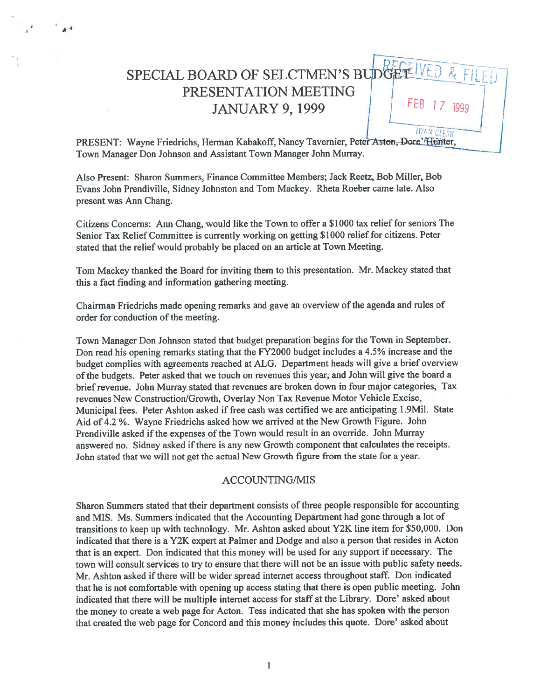# SPECIAL BOARD OF SELCTMEN'S BUDGET IVED PRESENTATION MEETING JANUARY 9, 1999 I L

TOY N CLERK PRESENT: Wayne Friedrichs, Herman Kabakoff, Nancy Tavernier, Peter Aston, Dore 'Hunter, Town Manager Don Johnson and Assistant Town Manager John Murray.

-4

Also Present: Sharon Summers, Finance Committee Members; Jack Reetz, Bob Miller, Bob Evans John Prendiville, Sidney Johnston and Tom Mackey. Rheta Roeber came late. Also presen<sup>t</sup> was Ann Chang.

Citizens Concerns: Ann Chang, would like the Town to offer <sup>a</sup> \$1000 tax relief for seniors The Senior Tax Relief Committee is currently working on getting \$1000 relief for citizens. Peter stated that the relief would probably be <sup>p</sup>laced on an article at Town Meeting.

Tom Mackey thanked the Board for inviting them to this presentation. Mr. Mackey stated that this <sup>a</sup> fact finding and information gathering meeting.

Chairman Friedrichs made opening remarks and gave an overview of the agenda and rules of order for conduction of the meeting.

Town Manager Don Johnson stated that budget preparation begins for the Town in September. Don read his opening remarks stating that the FY2000 budget includes <sup>a</sup> 4.5% increase and the budget complies with agreements reached at ALG. Department heads will <sup>g</sup>ive <sup>a</sup> brief overview of the budgets. Peter asked that we touch on revenues this year, and John will give the board a brief revenue. John Murray stated that revenues are broken down in four major categories, Tax revenues New Construction/Growth, Overlay Non Tax Revenue Motor Vehicle Excise, Municipal fees. Peter Ashton asked if free cash was certified we are anticipating <sup>1</sup> .9Mil. State Aid of 4.2 %. Wayne friedrichs asked how we arrived at the New Growth figure. John Prendiville asked if the expenses of the Town would result in an override. John Murray answered no. Sidney asked if there is any new Growth component that calculates the receipts. John stated that we will not ge<sup>t</sup> the actual New Growth figure from the state for <sup>a</sup> year.

# ACCOUNTING/MIS

Sharon Summers stated that their department consists of three people responsible for accounting and MIS. Ms. Summers indicated that the Accounting Department had gone through <sup>a</sup> lot of transitions to keep up with technology. Mr. Ashton asked about Y2K line item for \$50,000. Don indicated that there is <sup>a</sup> Y2K exper<sup>t</sup> at Palmer and Dodge and also <sup>a</sup> person that resides in Acton that is an expert. Don indicated that this money will be used for any suppor<sup>t</sup> if necessary. The town will consult services to try to ensure that there will not be an issue with public safety needs. Mr. Ashton asked if there will be wider spread Internet access throughout staff. Don indicated that he is not comfortable with opening up access stating that there is open public meeting. John indicated that there will be multiple internet access for staff at the Library. Dore' asked about the money to create <sup>a</sup> web page for Acton. Tess indicated that she has spoken with the person that created the web page for Concord and this money includes this quote. Dore' asked about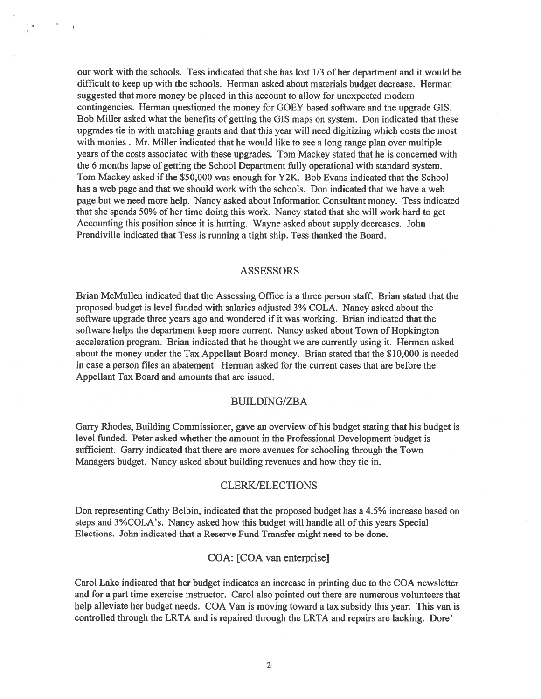our work with the schools. Tess indicated that she has lost 1/3 of her department and it would be difficult to keep up with the schools. Herman asked about materials budget decrease. Herman suggested that more money be placed in this account to allow for unexpected modem contingencies. Herman questioned the money for GOEY based software and the upgrade GIS. Bob Miller asked what the benefits of getting the GIS maps on system. Don indicated that these upgrades tie in with matching grants and that this year will need digitizing which costs the most with monies. Mr. Miller indicated that he would like to see <sup>a</sup> long range plan over multiple years of the costs associated with these upgrades. Tom Mackey stated that he is concerned with the 6 months lapse of getting the School Department fully operational with standard system. Tom Mackey asked if the \$50,000 was enough for Y2K. Bob Evans indicated that the School has <sup>a</sup> web page and that we should work with the schools. Don indicated that we have <sup>a</sup> web page but we need more help. Nancy asked about Information Consultant money. Tess indicated that she spends 50% of her time doing this work. Nancy stated that she will work hard to ge<sup>t</sup> Accounting this position since it is hurting. Wayne asked about supply decreases. John Prendiville indicated that Tess is running <sup>a</sup> tight ship. Tess thanked the Board.

 $\overline{\phantom{a}}$ 

## ASSESSORS

Brian McMullen indicated that the Assessing Office is <sup>a</sup> three person staff. Brian stated that the proposed budget is level funded with salaries adjusted 3% COLA. Nancy asked about the software upgrade three years ago and wondered if it was working. Brian indicated that the software helps the department keep more current. Nancy asked about Town of Hopkington acceleration program. Brian indicated that he thought we are currently using it. Herman asked about the money under the Tax Appellant Board money. Brian stated that the \$10,000 is needed in case <sup>a</sup> person files an abatement. Herman asked for the current cases that are before the Appellant Tax Board and amounts that are issued.

#### BUILDTNG/ZBA

Garry Rhodes, Building Commissioner, gave an overview of his budget stating that his budget is level funded. Peter asked whether the amount in the Professional Development budget is sufficient. Garry indicated that there are more avenues for schooling through the Town Managers budget. Nancy asked about building revenues and how they tie in.

## CLERK/ELECTIONS

Don representing Cathy Belbin, indicated that the proposed budget has <sup>a</sup> 4.5% increase based on steps and 3%COLA's. Nancy asked how this budget will handle all of this years Special Elections. John indicated that <sup>a</sup> Reserve Fund Transfer might need to be done.

# COA: [COA van enterprise]

Carol Lake indicated that her budget indicates an increase in printing due to the COA newsletter and for <sup>a</sup> par<sup>t</sup> time exercise instructor. Carol also pointed out there are numerous volunteers that help alleviate her budget needs. COA Van is moving toward <sup>a</sup> tax subsidy this year. This van is controlled through the LRTA and is repaired through the LRTA and repairs are lacking. Dore'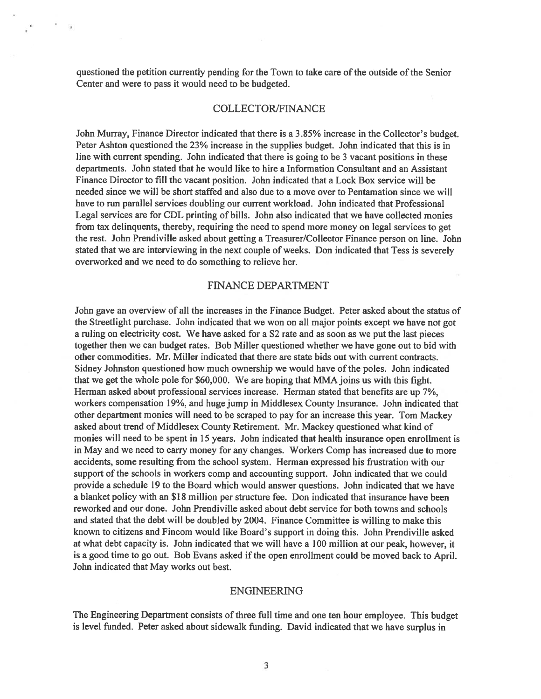questioned the petition currently pending for the Town to take care of the outside of the Senior Center and were to pass it would need to be budgeted.

# COLLECTOR/FINANCE

John Murray, Finance Director indicated that there is <sup>a</sup> 3.85% increase in the Collector's budget. Peter Ashton questioned the 23% increase in the supplies budget. John indicated that this is in line with current spending. John indicated that there is going to be 3 vacant positions in these departments. John stated that he would like to hire <sup>a</sup> Information Consultant and an Assistant finance Director to fill the vacant position. John indicated that <sup>a</sup> Lock Box service will be needed since we will be short staffed and also due to <sup>a</sup> move over to Pentamation since we will have to run parallel services doubling our current workload. John indicated that Professional Legal services are for CDL printing of bills. John also indicated that we have collected monies from tax delinquents, thereby, requiring the need to spend more money on legal services to ge<sup>t</sup> the rest. John Prendiville asked about getting <sup>a</sup> Treasurer/Collector Finance person on line. John stated that we are interviewing in the next couple of weeks. Don indicated that Tess is severely overworked and we need to do something to relieve her.

## FINANCE DEPARTMENT

John gave an overview of all the increases in the Finance Budget. Peter asked about the status of the Streetlight purchase. John indicated that we won on all major points excep<sup>t</sup> we have not go<sup>t</sup> <sup>a</sup> ruling on electricity cost. We have asked for <sup>a</sup> S2 rate and as soon as we pu<sup>t</sup> the last pieces together then we can budget rates. Bob Miller questioned whether we have gone out to bid with other commodities. Mr. Miller indicated that there are state bids out with current contracts. Sidney Johnston questioned how much ownership we would have of the poles. John indicated that we ge<sup>t</sup> the whole pole for \$60,000. We are hoping that MMA joins us with this fight. Herman asked about professional services increase. Herman stated that benefits are up 7%, workers compensation 19%, and huge jump in Middlesex County Insurance. John indicated that other department monies will need to be scraped to pay for an increase this year. Tom Mackey asked about trend of Middlesex County Retirement. Mr. Mackey questioned what kind of monies will need to be spen<sup>t</sup> in 15 years. John indicated that health insurance open enrollment is in May and we need to carry money for any changes. Workers Comp has increased due to more accidents, some resulting from the school system. Herman expressed his frustration with our suppor<sup>t</sup> of the schools in workers comp and accounting support. John indicated that we could provide <sup>a</sup> schedule 19 to the Board which would answer questions. John indicated that we have <sup>a</sup> blanket policy with an \$18 million per structure fee. Don indicated that insurance have been reworked and our done. John Prendiville asked about debt service for both towns and schools and stated that the debt will be doubled by 2004. Finance Committee is willing to make this known to citizens and Fincom would like Board's suppor<sup>t</sup> in doing this. John Prendiville asked at what debt capacity is. John indicated that we will have <sup>a</sup> 100 million at our peak, however, it is <sup>a</sup> good time to go out. Bob Evans asked if the open enrollment could be moved back to April. John indicated that May works out best.

## ENGINEERING

The Engineering Department consists of three full time and one ten hour employee. This budget is level funded. Peter asked about sidewalk funding. David indicated that we have surplus in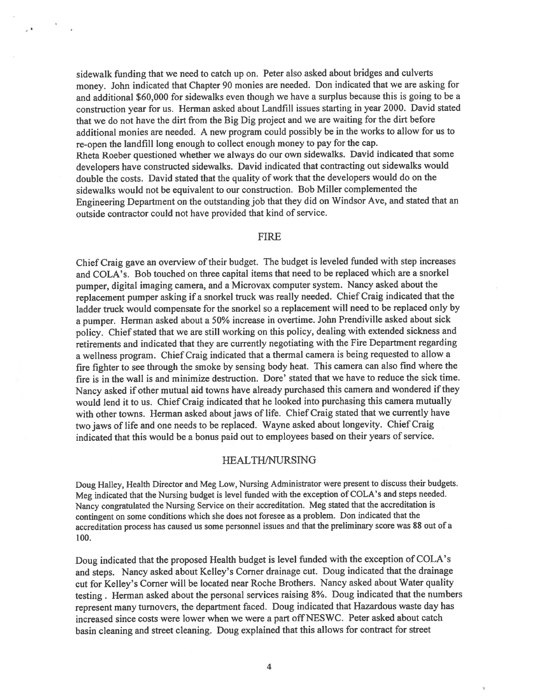sidewalk funding that we need to catch up on. Peter also asked about bridges and culverts money. John indicated that Chapter <sup>90</sup> monies are needed. Don indicated that we are asking for and additional \$60,000 for sidewalks even though we have <sup>a</sup> surplus because this is going to be <sup>a</sup> construction year for us. Herman asked about Landfill issues starting in year 2000. David stated that we do not have the dirt from the Big Dig project and we are waiting for the dirt before additional monies are needed. <sup>A</sup> new program could possibly be in the works to allow for us to re-open the landfill long enoug<sup>h</sup> to collect enoug<sup>h</sup> money to pay for the cap. Rheta Roeber questioned whether we always do our own sidewalks. David indicated that some developers have constructed sidewalks. David indicated that contracting out sidewalks would double the costs. David stated that the quality of work that the developers would do on the sidewalks would not be equivalent to our construction. Bob Miller complemented the Engineering Department on the outstanding job that they did on Windsor Aye, and stated that an outside contractor could not have provided that kind of service.

y ki

## FIRE

Chief Craig gave an overview of their budget. The budget is leveled funded with step increases and COLA's. Bob touched on three capital items that need to be replaced which are <sup>a</sup> snorkel pumper, digital imaging camera, and <sup>a</sup> Microvax computer system. Nancy asked about the replacement pumper asking if <sup>a</sup> snorkel truck was really needed. Chief Craig indicated that the ladder truck would compensate for the snorkel so <sup>a</sup> replacement will need to be replaced only by <sup>a</sup> pumper. Herman asked about <sup>a</sup> 50% increase in overtime. John Prendiville asked about sick policy. Chief stated that we are still working on this policy, dealing with extended sickness and retirements and indicated that they are currently negotiating with the Fire Department regarding <sup>a</sup> wellness program. ChiefCraig indicated that <sup>a</sup> thermal camera is being requested to allow <sup>a</sup> fire fighter to see through the smoke by sensing body heat. This camera can also find where the fire is in the wall is and minimize destruction. Dore' stated that we have to reduce the sick time. Nancy asked if other mutual aid towns have already purchased this camera and wondered if they would lend it to us. Chief Craig indicated that he looked into purchasing this camera mutually with other towns. Herman asked about jaws of life. Chief Craig stated that we currently have two jaws of life and one needs to be replaced. Wayne asked about longevity. Chief Craig indicated that this would be <sup>a</sup> bonus paid out to employees based on their years of service.

## HEALTH/NURSING

Doug Halley, Health Director and Meg Low, Nursing Administrator were presen<sup>t</sup> to discuss their budgets. Meg indicated that the Nursing budget is level funded with the exception of COLA's and steps needed. Nancy congratulated the Nursing Service on their accreditation. Meg stated that the accreditation is contingent on some conditions which she does not foresee as <sup>a</sup> problem. Don indicated that the accreditation process has caused us some personne<sup>l</sup> issues and that the preliminary score was 8\$ out of <sup>a</sup> 100.

Doug indicated that the propose<sup>d</sup> Health budget is level funded with the exception of COLA's and steps. Nancy asked about Kelley's Corner drainage cut. Doug indicated that the drainage cut for Kelley's Corner will be located near Roche Brothers. Nancy asked about Water quality testing. Herman asked about the persona<sup>l</sup> services raising 8%. Doug indicated that the numbers represen<sup>t</sup> many turnovers, the department faced. Doug indicated that Hazardous waste day has increased since costs were lower when we were <sup>a</sup> par<sup>t</sup> offNESWC. Peter asked about catch basin cleaning and street cleaning. Doug explained that this allows for contract for street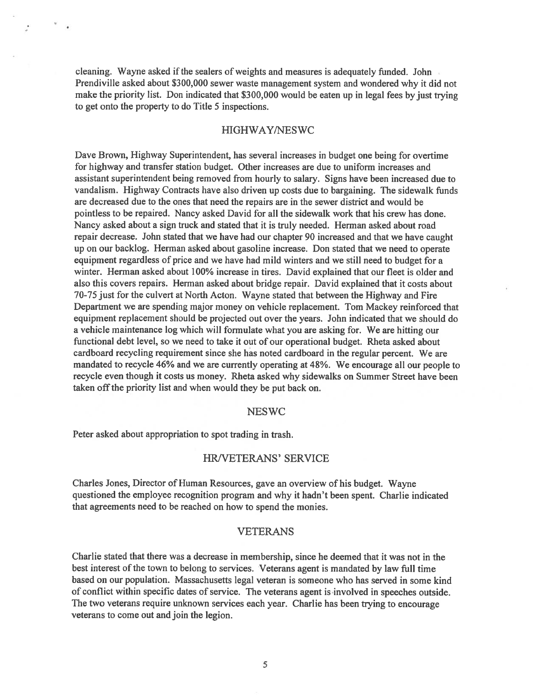cleaning. Wayne asked ifthe sealers of weights and measures is adequately funded. John Prendiville asked about \$300,000 sewer waste managemen<sup>t</sup> system and wondered why it did not make the priority list. Don indicated that \$300,000 would be eaten up in legal fees by just trying to ge<sup>t</sup> onto the property to do Title 5 inspections.

# HIGHWAY/NESWC

Dave Brown, Highway Superintendent, has several increases in budget one being for overtime for highway and transfer station budget. Other increases are due to uniform increases and assistant superintendent being removed from hourly to salary. Signs have been increased due to vandalism. Highway Contracts have also driven up costs due to bargaining. The sidewalk funds are decreased due to the ones that need the repairs are in the sewer district and would be pointless to be repaired. Nancy asked David for all the sidewalk work that his crew has done. Nancy asked about <sup>a</sup> sign truck and stated that it is truly needed. Herman asked about road repair decrease. John stated that we have had our chapter 90 increased and that we have caught up on our backlog. Herman asked about gasoline increase. Don stated that we need to operate equipment regardless of price and we have had mild winters and we still need to budget for <sup>a</sup> winter. Herman asked about 100% increase in tires. David explained that our fleet is older and also this covers repairs. Herman asked about bridge repair. David explained that it costs about 70-75 just for the culvert at North Acton. Wayne stated that between the Highway and Fire Department we are spending major money on vehicle replacement. Tom Mackey reinforced that equipment replacement should be projected out over the years. John indicated that we should do <sup>a</sup> vehicle maintenance log which will formulate what you are asking for. We are hitting our functional debt level, so we need to take it out of our operational budget. Rheta asked about cardboard recycling requirement since she has noted cardboard in the regular percent. We are mandated to recycle 46% and we are currently operating at 48%. We encourage all our people to recycle even though it costs us money. Rheta asked why sidewalks on Summer Street have been taken off the priority list and when would they be put back on.

#### NESWC

Peter asked about appropriation to spo<sup>t</sup> trading in trash.

# HR/VETERANS' SERVICE

Charles Jones, Director of Human Resources, gave an overview of his budget. Wayne questioned the employee recognition program and why it hadn't been spent. Charlie indicated that agreements need to be reached on how to spend the monies.

## VETERANS

Charlie stated that there was <sup>a</sup> decrease in membership, since he deemed that it was not in the best interest of the town to belong to services. Veterans agen<sup>t</sup> is mandated by law full time based on our population. Massachusetts legal veteran is someone who has served in some kind of conflict within specific dates of service. The veterans agen<sup>t</sup> is involved in speeches outside. The two veterans require unknown services each year. Charlie has been trying to encourage veterans to come out and join the legion.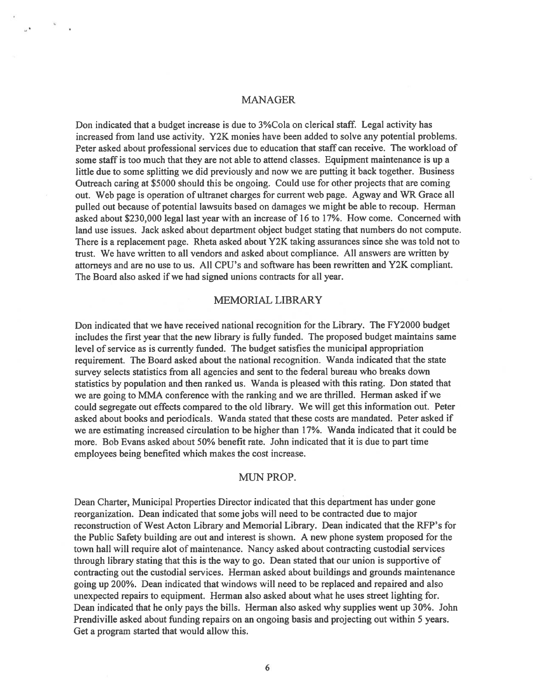## MANAGER

Don indicated that <sup>a</sup> budget increase is due to 3%Cola on clerical staff. Legal activity has increased from land use activity. Y2K monies have been added to solve any potential problems. Peter asked about professional services due to education that staff can receive. The workload of some staff is too much that they are not able to attend classes. Equipment maintenance is up <sup>a</sup> little due to some splitting we did previously and now we are putting it back together. Business Outreach caring at \$5000 should this be ongoing. Could use for other projects that are coming out. Web page is operation of ultranet charges for current web page. Agway and WR Grace all pulled out because of potential lawsuits based on damages we might be able to recoup. Herman asked about \$230,000 legal last year with an increase of 16 to 17%. How come. Concerned with land use issues. Jack asked about department object budget stating that numbers do not compute. There is <sup>a</sup> replacement page. Rheta asked about Y2K taking assurances since she was told not to trust. We have written to all vendors and asked about compliance. All answers are written by attorneys and are no use to us. All CPU's and software has been rewritten and Y2K compliant. The Board also asked if we had signed unions contracts for all year.

# MEMORIAL LIBRARY

Don indicated that we have received national recognition for the Library. The FY2000 budget includes the first year that the new library is fully funded. The proposed budget maintains same level of service as is currently funded. The budget satisfies the municipal appropriation requirement. The Board asked about the national recognition. Wanda indicated that the state survey selects statistics from all agencies and sent to the federal bureau who breaks down statistics by population and then ranked us. Wanda is pleased with this rating. Don stated that we are going to MMA conference with the ranking and we are thrilled. Herman asked if we could segregate out effects compared to the old library. We will ge<sup>t</sup> this information out. Peter asked about books and periodicals. Wanda stated that these costs are mandated. Peter asked if we are estimating increased circulation to be higher than 17%. Wanda indicated that it could be more. Bob Evans asked about 50% benefit rate. John indicated that it is due to par<sup>t</sup> time employees being benefited which makes the cost increase.

# MUN PROP.

Dean Charter, Municipal Properties Director indicated that this department has under gone reorganization. Dean indicated that some jobs will need to be contracted due to major reconstruction of West Acton Library and Memorial Library. Dean indicated that the RFP's for the Public Safety building are out and interest is shown. A new phone system proposed for the town hail will require alot of maintenance. Nancy asked about contracting custodial services through library stating that this is the way to go. Dean stated that our union is supportive of contracting out the custodial services. Herman asked about buildings and grounds maintenance going up 200%. Dean indicated that windows will need to be replaced and repaired and also unexpected repairs to equipment. Herman also asked about what he uses street lighting for. Dean indicated that he only pays the bills. Herman also asked why supplies went up 30%. John Prendiville asked about funding repairs on an ongoing basis and projecting out within 5 years. Get <sup>a</sup> program started that would allow this.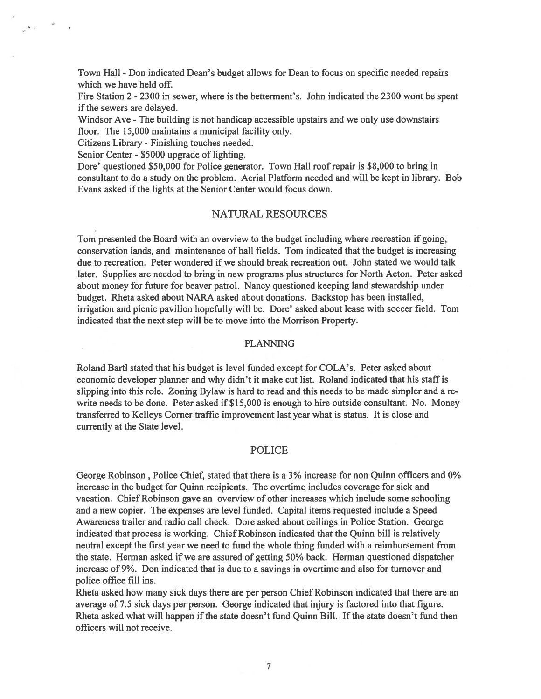Town Hall - Don indicated Dean's budget allows for Dean to focus on specific needed repairs which we have held off.

Fire Station 2 - 2300 in sewer, where is the betterment's. John indicated the 2300 wont be spent if the sewers are delayed.

Windsor Ave -The building is not handicap accessible upstairs and we only use downstairs floor. The 15,000 maintains a municipal facility only.

Citizens Library - Finishing touches needed.

Senior Center - \$5000 upgrade of lighting.

 $\mathbf{A} = \mathbf{A} \mathbf{A}$ 

Dore' questioned \$50,000 for Police generator. Town Hall roof repair is \$8,000 to bring in consultant to do <sup>a</sup> study on the problem. Aerial Platform needed and will be kept in library. Bob Evans asked if the lights at the Senior Center would focus down.

## NATURAL RESOURCES

Tom presented the Board with an overview to the budget including where recreation if going, conservation lands, and maintenance of ball fields. Tom indicated that the budget is increasing due to recreation. Peter wondered if we should break recreation out. John stated we would talk later. Supplies are needed to bring in new programs plus structures for North Acton. Peter asked about money for future for beaver patrol. Nancy questioned keeping land stewardship under budget. Rheta asked about NARA asked about donations. Backstop has been installed, irrigation and picnic pavilion hopefully will be. Dore' asked about lease with soccer field. Tom indicated that the next step will be to move into the Morrison Property.

#### PLANNING

Roland Bartl stated that his budget is level funded excep<sup>t</sup> for COLA's. Peter asked about economic developer planner and why didn't it make cut list. Roland indicated that his staff is slipping into this role. Zoning Bylaw is hard to read and this needs to be made simpler and <sup>a</sup> re write needs to be done. Peter asked if \$15,000 is enough to hire outside consultant. No. Money transferred to Kelleys Corner traffic improvement last year what is status. It is close and currently at the State level.

## POLICE

George Robinson, Police Chief, stated that there is <sup>a</sup> 3% increase for non Quinn officers and 0% increase in the budget for Quinn recipients. The overtime includes coverage for sick and vacation. Chief Robinson gave an overview of other increases which include some schooling and <sup>a</sup> new copier. The expenses are level funded. Capital items requested include <sup>a</sup> Speed Awareness trailer and radio call check. Dore asked about ceilings in Police Station. George indicated that process is working. Chief Robinson indicated that the Quinn bill is relatively neutral excep<sup>t</sup> the first year we need to fund the whole thing funded with <sup>a</sup> reimbursement from the state. Herman asked if we are assured of getting 50% back. Herman questioned dispatcher increase of 9%. Don indicated that is due to <sup>a</sup> savings in overtime and also for turnover and police office fill ins.

Rheta asked how many sick days there are per person Chief Robinson indicated that there are an average of 7.5 sick days per person. George indicated that injury is factored into that figure. Rheta asked what will happen if the state doesn't fund Quinn Bill. If the state doesn't fund then officers will not receive.